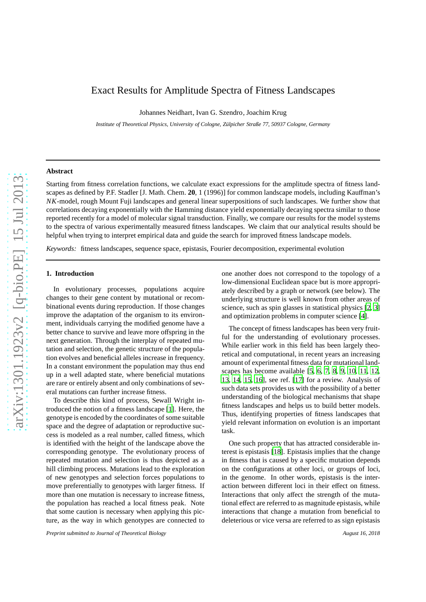# Exact Results for Amplitude Spectra of Fitness Landscapes

Johannes Neidhart, Ivan G. Szendro, Joachim Krug

*Institute of Theoretical Physics, University of Cologne, Z¨ulpicher Straße 77, 50937 Cologne, Germany*

# **Abstract**

Starting from fitness correlation functions, we calculate exact expressions for the amplitude spectra of fitness landscapes as defined by P.F. Stadler [J. Math. Chem. **20**, 1 (1996)] for common landscape models, including Kauffman's *NK*-model, rough Mount Fuji landscapes and general linear superpositions of such landscapes. We further show that correlations decaying exponentially with the Hamming distance yield exponentially decaying spectra similar to those reported recently for a model of molecular signal transduction. Finally, we compare our results for the model systems to the spectra of various experimentally measured fitness landscapes. We claim that our analytical results should be helpful when trying to interpret empirical data and guide the search for improved fitness landscape models.

*Keywords:* fitness landscapes, sequence space, epistasis, Fourier decomposition, experimental evolution

# **1. Introduction**

In evolutionary processes, populations acquire changes to their gene content by mutational or recombinational events during reproduction. If those changes improve the adaptation of the organism to its environment, individuals carrying the modified genome have a better chance to survive and leave more offspring in the next generation. Through the interplay of repeated mutation and selection, the genetic structure of the population evolves and beneficial alleles increase in frequency. In a constant environment the population may thus end up in a well adapted state, where beneficial mutations are rare or entirely absent and only combinations of several mutations can further increase fitness.

To describe this kind of process, Sewall Wright introduced the notion of a fitness landscape [\[1](#page-11-0)]. Here, the genotype is encoded by the coordinates of some suitable space and the degree of adaptation or reproductive success is modeled as a real number, called fitness, which is identified with the height of the landscape above the corresponding genotype. The evolutionary process of repeated mutation and selection is thus depicted as a hill climbing process. Mutations lead to the exploration of new genotypes and selection forces populations to move preferentially to genotypes with larger fitness. If more than one mutation is necessary to increase fitness, the population has reached a local fitness peak. Note that some caution is necessary when applying this picture, as the way in which genotypes are connected to

*Preprint submitted to Journal of Theoretical Biology August 16, 2018*

one another does not correspond to the topology of a low-dimensional Euclidean space but is more appropriately described by a graph or network (see below). The underlying structure is well known from other areas of science, such as spin glasses in statistical physics [\[2](#page-11-1), [3\]](#page-11-2) and optimization problems in computer science [\[4\]](#page-11-3).

The concept of fitness landscapes has been very fruitful for the understanding of evolutionary processes. While earlier work in this field has been largely theoretical and computational, in recent years an increasing amount of experimental fitness data for mutational landscapes has become available [\[5](#page-11-4), [6](#page-11-5), [7](#page-11-6), [8,](#page-11-7) [9,](#page-11-8) [10,](#page-11-9) [11,](#page-11-10) [12](#page-11-11), [13,](#page-11-12) [14](#page-11-13), [15,](#page-11-14) [16\]](#page-11-15), see ref. [\[17\]](#page-11-16) for a review. Analysis of such data sets provides us with the possibility of a better understanding of the biological mechanisms that shape fitness landscapes and helps us to build better models. Thus, identifying properties of fitness landscapes that yield relevant information on evolution is an important task.

One such property that has attracted considerable interest is epistasis [\[18](#page-11-17)]. Epistasis implies that the change in fitness that is caused by a specific mutation depends on the configurations at other loci, or groups of loci, in the genome. In other words, epistasis is the interaction between different loci in their effect on fitness. Interactions that only affect the strength of the mutational effect are referred to as magnitude epistasis, while interactions that change a mutation from beneficial to deleterious or vice versa are referred to as sign epistasis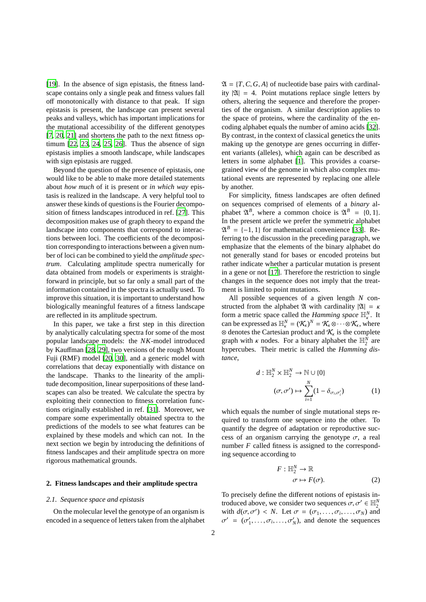[\[19\]](#page-11-18). In the absence of sign epistasis, the fitness landscape contains only a single peak and fitness values fall off monotonically with distance to that peak. If sign epistasis is present, the landscape can present several peaks and valleys, which has important implications for the mutational accessibility of the different genotypes [\[7,](#page-11-6) [20](#page-11-19), [21\]](#page-12-0) and shortens the path to the next fitness optimum [\[22,](#page-12-1) [23](#page-12-2), [24](#page-12-3), [25](#page-12-4), [26](#page-12-5)]. Thus the absence of sign epistasis implies a smooth landscape, while landscapes with sign epistasis are rugged.

Beyond the question of the presence of epistasis, one would like to be able to make more detailed statements about *how much* of it is present or *in which way* epistasis is realized in the landscape. A very helpful tool to answer these kinds of questions is the Fourier decomposition of fitness landscapes introduced in ref. [\[27\]](#page-12-6). This decomposition makes use of graph theory to expand the landscape into components that correspond to interactions between loci. The coefficients of the decomposition corresponding to interactions between a given number of loci can be combined to yield the *amplitude spectrum*. Calculating amplitude spectra numerically for data obtained from models or experiments is straightforward in principle, but so far only a small part of the information contained in the spectra is actually used. To improve this situation, it is important to understand how biologically meaningful features of a fitness landscape are reflected in its amplitude spectrum.

In this paper, we take a first step in this direction by analytically calculating spectra for some of the most popular landscape models: the *NK*-model introduced by Kauffman [\[28](#page-12-7), [29](#page-12-8)], two versions of the rough Mount Fuji (RMF) model [\[20,](#page-11-19) [30](#page-12-9)], and a generic model with correlations that decay exponentially with distance on the landscape. Thanks to the linearity of the amplitude decomposition, linear superpositions of these landscapes can also be treated. We calculate the spectra by exploiting their connection to fitness correlation functions originally established in ref. [\[31](#page-12-10)]. Moreover, we compare some experimentally obtained spectra to the predictions of the models to see what features can be explained by these models and which can not. In the next section we begin by introducing the definitions of fitness landscapes and their amplitude spectra on more rigorous mathematical grounds.

#### **2. Fitness landscapes and their amplitude spectra**

# *2.1. Sequence space and epistasis*

On the molecular level the genotype of an organism is encoded in a sequence of letters taken from the alphabet  $\mathfrak{A} = \{T, C, G, A\}$  of nucleotide base pairs with cardinality  $|\mathfrak{A}| = 4$ . Point mutations replace single letters by others, altering the sequence and therefore the properties of the organism. A similar description applies to the space of proteins, where the cardinality of the encoding alphabet equals the number of amino acids [\[32](#page-12-11)]. By contrast, in the context of classical genetics the units making up the genotype are genes occurring in different variants (alleles), which again can be described as letters in some alphabet [\[1\]](#page-11-0). This provides a coarsegrained view of the genome in which also complex mutational events are represented by replacing one allele by another.

For simplicity, fitness landscapes are often defined on sequences comprised of elements of a *binary* alphabet  $\mathfrak{A}^B$ , where a common choice is  $\mathfrak{A}^B = \{0, 1\}.$ In the present article we prefer the symmetric alphabet  $\mathfrak{A}^B = \{-1, 1\}$  for mathematical convenience [\[33\]](#page-12-12). Referring to the discussion in the preceding paragraph, we emphasize that the elements of the binary alphabet do not generally stand for bases or encoded proteins but rather indicate whether a particular mutation is present in a gene or not [\[17\]](#page-11-16). Therefore the restriction to single changes in the sequence does not imply that the treatment is limited to point mutations.

All possible sequences of a given length *N* constructed from the alphabet  $\mathfrak A$  with cardinality  $|\mathfrak A| = \kappa$ form a metric space called the *Hamming space*  $\mathbb{H}_{\kappa}^{N}$ . It can be expressed as  $\mathbb{H}_{\kappa}^N = (\mathcal{K}_{\kappa})^N = \mathcal{K}_{\kappa} \otimes \cdots \otimes \mathcal{K}_{\kappa}$ , where  $\otimes$  denotes the Cartesian product and  $\mathcal{K}_k$  is the complete graph with  $\kappa$  nodes. For a binary alphabet the  $\mathbb{H}_2^N$  are hypercubes. Their metric is called the *Hamming distance*,

$$
d: \mathbb{H}_2^N \times \mathbb{H}_2^N \to \mathbb{N} \cup \{0\}
$$

$$
(\sigma, \sigma') \mapsto \sum_{i=1}^N (1 - \delta_{\sigma_i, \sigma'_i})
$$
(1)

which equals the number of single mutational steps required to transform one sequence into the other. To quantify the degree of adaptation or reproductive success of an organism carrying the genotype  $\sigma$ , a real number *F* called fitness is assigned to the corresponding sequence according to

$$
F: \mathbb{H}_2^N \to \mathbb{R}
$$
  
\n
$$
\sigma \mapsto F(\sigma). \tag{2}
$$

To precisely define the different notions of epistasis introduced above, we consider two sequences  $\sigma, \sigma' \in \mathbb{H}_2^N$ with  $d(\sigma, \sigma') < N$ . Let  $\sigma = (\sigma_1, \ldots, \sigma_i, \ldots, \sigma_N)$  and  $\sigma' = (\sigma'_1, \ldots, \sigma_i, \ldots, \sigma'_N)$ , and denote the sequences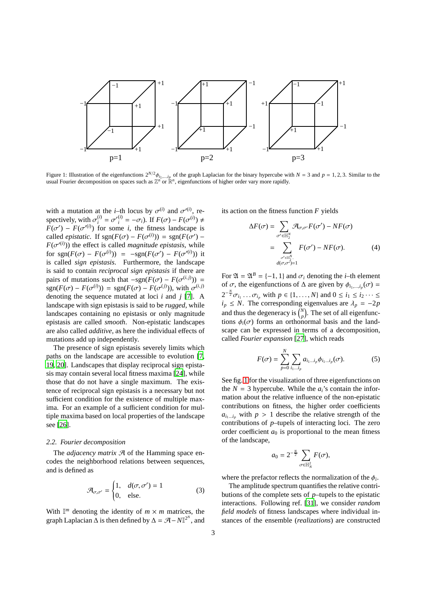

<span id="page-2-0"></span>Figure 1: Illustration of the eigenfunctions  $2^{N/2}\phi_{i_1,\dots,i_p}$  of the graph Laplacian for the binary hypercube with  $N = 3$  and  $p = 1, 2, 3$ . Similar to the usual Fourier decomposition on spaces such as  $\mathbb{Z}^n$  or  $\mathbb{R}^n$ , eigenfunctions of higher order vary more rapidly.

with a mutation at the *i*-th locus by  $\sigma^{(i)}$  and  $\sigma'^{(i)}$ , respectively, with  $\sigma_i^{(i)}$  $i_j^{(i)} = \sigma'_{i}^{(i)} = -\sigma_i$ ). If *F*( $\sigma$ ) − *F*( $\sigma^{(i)}$ ) ≠  $F(\sigma') - F(\sigma'^{(i)})$  for some *i*, the fitness landscape is called *epistatic*. If  $sgn(F(\sigma) - F(\sigma^{(i)})) = sgn(F(\sigma'))$  $F(\sigma^{\prime(i)})$  the effect is called *magnitude epistasis*, while for  $sgn(F(\sigma) - F(\sigma^{(i)})) = -sgn(F(\sigma') - F(\sigma'^{(i)}))$  it is called *sign epistasis*. Furthermore, the landscape is said to contain *reciprocal sign epistasis* if there are pairs of mutations such that  $-\text{sgn}(F(\sigma) - F(\sigma^{(i,j)})) =$  $\text{sgn}(F(\sigma) - F(\sigma^{(i)})) = \text{sgn}(F(\sigma) - F(\sigma^{(j)}))$ , with  $\sigma^{(i,j)}$ denoting the sequence mutated at loci *i* and *j* [\[7\]](#page-11-6). A landscape with sign epistasis is said to be *rugged*, while landscapes containing no epistasis or only magnitude epistasis are called *smooth*. Non-epistatic landscapes are also called *additive*, as here the individual effects of mutations add up independently.

The presence of sign epistasis severely limits which paths on the landscape are accessible to evolution [\[7](#page-11-6), [19,](#page-11-18) [20\]](#page-11-19). Landscapes that display reciprocal sign epistasis may contain several local fitness maxima [\[24\]](#page-12-3), while those that do not have a single maximum. The existence of reciprocal sign epistasis is a necessary but not sufficient condition for the existence of multiple maxima. For an example of a sufficient condition for multiple maxima based on local properties of the landscape see [\[26](#page-12-5)].

# *2.2. Fourier decomposition*

The *adjacency matrix*  $\mathcal A$  of the Hamming space encodes the neighborhood relations between sequences, and is defined as

$$
\mathcal{A}_{\sigma,\sigma'} = \begin{cases} 1, & d(\sigma,\sigma') = 1 \\ 0, & \text{else.} \end{cases}
$$
 (3)

With  $\mathbb{I}^m$  denoting the identity of  $m \times m$  matrices, the graph Laplacian  $\Delta$  is then defined by  $\Delta = \mathcal{A} - N \mathbb{I}^{2^N}$ , and its action on the fitness function *F* yields

$$
\Delta F(\sigma) = \sum_{\sigma' \in \mathbb{H}_2^N} \mathcal{A}_{\sigma, \sigma'} F(\sigma') - NF(\sigma)
$$

$$
= \sum_{\sigma' \in \mathbb{H}_2^N, \atop d(\sigma, \sigma') = 1} F(\sigma') - NF(\sigma). \tag{4}
$$

For  $\mathfrak{A} = \mathfrak{A}^B = \{-1, 1\}$  and  $\sigma_i$  denoting the *i*–th element of  $\sigma$ , the eigenfunctions of  $\Delta$  are given by  $\phi_{i_1,\dots,i_p}(\sigma)$  =  $2^{-\frac{N}{2}}\sigma_{i_1} \ldots \sigma_{i_p}$  with  $p \in \{1, ..., N\}$  and  $0 \le i_1 \le i_2 \cdots \le i_p$  $i_p \leq N$ . The corresponding eigenvalues are  $\lambda_p = -2p$ and thus the degeneracy is  $\binom{N}{p}$ . The set of all eigenfunctions  $\phi_i(\sigma)$  forms an orthonormal basis and the landscape can be expressed in terms of a decomposition, called *Fourier expansion* [\[27](#page-12-6)], which reads

<span id="page-2-1"></span>
$$
F(\sigma) = \sum_{p=0}^{N} \sum_{i_1...i_p} a_{i_1...i_p} \phi_{i_1...i_p}(\sigma).
$$
 (5)

See fig. [1](#page-2-0) for the visualization of three eigenfunctions on the  $N = 3$  hypercube. While the  $a_i$ 's contain the information about the relative influence of the non-epistatic contributions on fitness, the higher order coefficients  $a_{i_1...i_p}$  with  $p > 1$  describe the relative strength of the contributions of *p*–tupels of interacting loci. The zero order coefficient  $a_0$  is proportional to the mean fitness of the landscape,

$$
a_0 = 2^{-\frac{N}{2}} \sum_{\sigma \in \mathbb{H}_N^2} F(\sigma),
$$

where the prefactor reflects the normalization of the  $\phi_i$ .

The amplitude spectrum quantifies the relative contributions of the complete sets of *p*–tupels to the epistatic interactions. Following ref. [\[31\]](#page-12-10), we consider *random field models* of fitness landscapes where individual instances of the ensemble (*realizations*) are constructed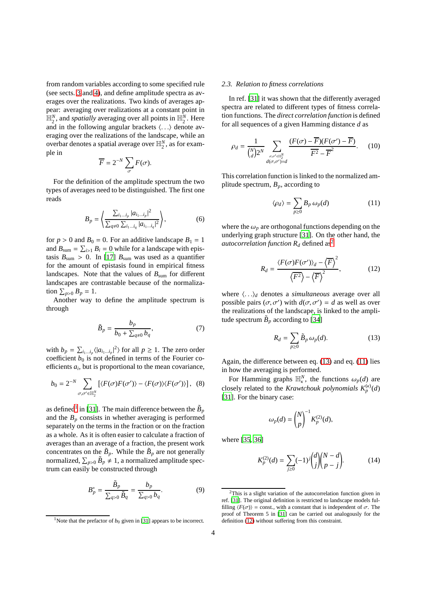from random variables according to some specified rule (see sects. [3](#page-4-0) and [4\)](#page-6-0), and define amplitude spectra as averages over the realizations. Two kinds of averages appear: averaging over realizations at a constant point in  $\mathbb{H}^N_2$ , and *spatially* averaging over all points in  $\mathbb{H}^N_2$ . Here and in the following angular brackets  $\langle \ldots \rangle$  denote averaging over the realizations of the landscape, while an overbar denotes a spatial average over  $\mathbb{H}_2^N$ , as for example in

$$
\overline{F} = 2^{-N} \sum_{\sigma} F(\sigma).
$$

For the definition of the amplitude spectrum the two types of averages need to be distinguished. The first one reads

$$
B_p = \left\langle \frac{\sum_{i_1...i_p} |a_{i_1...i_p}|^2}{\sum_{q \neq 0} \sum_{i_1...i_q} |a_{i_1...i_q}|^2} \right\rangle,\tag{6}
$$

for  $p > 0$  and  $B_0 = 0$ . For an additive landscape  $B_1 = 1$ and  $B_{\text{sum}} = \sum_{i>1} B_i = 0$  while for a landscape with epistasis  $B_{\text{sum}} > 0$ . In [\[17\]](#page-11-16)  $B_{\text{sum}}$  was used as a quantifier for the amount of epistasis found in empirical fitness landscapes. Note that the values of  $B_{\text{sum}}$  for different landscapes are contrastable because of the normalization  $\sum_{p>0} B_p = 1$ .

Another way to define the amplitude spectrum is through

$$
\tilde{B}_p = \frac{b_p}{b_0 + \sum_{q \neq 0} b_q},\tag{7}
$$

with  $b_p = \sum_{i_1...i_p} \langle |a_{i_1...i_p}|^2 \rangle$  for all  $p \ge 1$ . The zero order | coefficient  $b_0$  is not defined in terms of the Fourier coefficients  $a_i$ , but is proportional to the mean covariance,

$$
b_0 = 2^{-N} \sum_{\sigma, \sigma' \in \mathbb{H}_2^N} \left[ \langle F(\sigma) F(\sigma') \rangle - \langle F(\sigma) \rangle \langle F(\sigma') \rangle \right], \quad (8)
$$

as defined<sup>[1](#page-3-0)</sup> in [\[31](#page-12-10)]. The main difference between the  $\tilde{B}_p$ and the  $B_p$  consists in whether averaging is performed separately on the terms in the fraction or on the fraction as a whole. As it is often easier to calculate a fraction of averages than an average of a fraction, the present work concentrates on the  $\tilde{B}_p$ . While the  $\tilde{B}_p$  are not generally normalized,  $\sum_{p>0} \tilde{B}_p \neq 1$ , a normalized amplitude spectrum can easily be constructed through

$$
B_p^* = \frac{\tilde{B}_p}{\sum_{q>0} \tilde{B}_q} = \frac{b_p}{\sum_{q>0} b_q}.
$$
 (9)

# *2.3. Relation to fitness correlations*

In ref. [\[31\]](#page-12-10) it was shown that the differently averaged spectra are related to different types of fitness correlation functions. The *direct correlation function* is defined for all sequences of a given Hamming distance *d* as

$$
\rho_d = \frac{1}{\binom{N}{d}2^N} \sum_{\sigma, \sigma' \in \mathbb{H}_2^N \atop d(\sigma, \sigma') = d} \frac{(F(\sigma) - \overline{F})(F(\sigma') - \overline{F})}{\overline{F^2} - \overline{F}^2}.
$$
 (10)

This correlation function is linked to the normalized amplitude spectrum,  $B_p$ , according to

<span id="page-3-3"></span>
$$
\langle \rho_d \rangle = \sum_{p \ge 0} B_p \, \omega_p(d) \tag{11}
$$

where the  $\omega_p$  are orthogonal functions depending on the underlying graph structure [\[31\]](#page-12-10). On the other hand, the *autocorrelation function*  $R_d$  defined as<sup>[2](#page-3-1)</sup>

<span id="page-3-4"></span>
$$
R_d = \frac{\langle F(\sigma)F(\sigma')\rangle_d - \langle \overline{F} \rangle^2}{\langle \overline{F^2} \rangle - \langle \overline{F} \rangle^2},\tag{12}
$$

where  $\langle \ldots \rangle_d$  denotes a *simultaneous* average over all possible pairs  $(\sigma, \sigma')$  with  $d(\sigma, \sigma') = d$  as well as over the realizations of the landscape, is linked to the amplitude spectrum  $\tilde{B}_p$  according to [\[34\]](#page-12-13)

<span id="page-3-2"></span>
$$
R_d = \sum_{p\geq 0} \tilde{B}_p \,\omega_p(d). \tag{13}
$$

Again, the difference between eq. [\(13\)](#page-3-2) and eq. [\(11\)](#page-3-3) lies in how the averaging is performed.

For Hamming graphs  $\mathbb{H}_{\kappa}^{N}$ , the functions  $\omega_{p}(d)$  are closely related to the *Krawtchouk polynomials*  $K_p^{(\kappa)}(d)$ [\[31\]](#page-12-10). For the binary case:

$$
\omega_p(d) = \binom{N}{p}^{-1} K_p^{(2)}(d),
$$

where [\[35,](#page-12-14) [36\]](#page-12-15)

$$
K_p^{(2)}(d) = \sum_{j\geq 0} (-1)^j {d \choose j} {N-d \choose p-j}.
$$
 (14)

<span id="page-3-0"></span><sup>&</sup>lt;sup>1</sup>Note that the prefactor of  $b_0$  given in [\[31](#page-12-10)] appears to be incorrect.

<span id="page-3-1"></span> $2$ This is a slight variation of the autocorrelation function given in ref. [\[31\]](#page-12-10). The original definition is restricted to landscape models fulfilling  $\langle F(\sigma) \rangle$  = const., with a constant that is independent of  $\sigma$ . The proof of Theorem 5 in [\[31](#page-12-10)] can be carried out analogously for the definition [\(12\)](#page-3-4) without suffering from this constraint.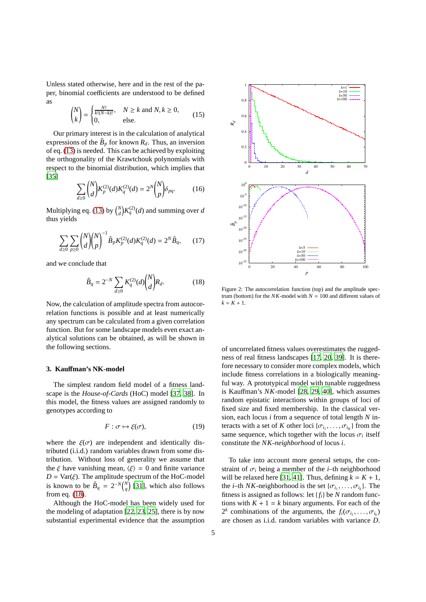Unless stated otherwise, here and in the rest of the paper, binomial coefficients are understood to be defined as

<span id="page-4-3"></span>
$$
\binom{N}{k} = \begin{cases} \frac{N!}{k!(N-k)!}, & N \ge k \text{ and } N, k \ge 0, \\ 0, & \text{else.} \end{cases}
$$
 (15)

Our primary interest is in the calculation of analytical expressions of the  $\tilde{B}_p$  for known  $R_d$ . Thus, an inversion of eq. [\(13\)](#page-3-2) is needed. This can be achieved by exploiting the orthogonality of the Krawtchouk polynomials with respect to the binomial distribution, which implies that [\[35\]](#page-12-14)

$$
\sum_{d\geq 0} \binom{N}{d} K_p^{(2)}(d) K_q^{(2)}(d) = 2^N \binom{N}{p} \delta_{pq}.
$$
 (16)

Multiplying eq. [\(13\)](#page-3-2) by  $\binom{N}{d} K_q^{(2)}(d)$  and summing over *d* thus yields

$$
\sum_{d\geq 0} \sum_{p\geq 0} {N \choose d} {N \choose p}^{-1} \tilde{B}_p K_p^{(2)}(d) K_q^{(2)}(d) = 2^N \tilde{B}_q, \qquad (17)
$$

and we conclude that

<span id="page-4-1"></span>
$$
\tilde{B}_q = 2^{-N} \sum_{d \ge 0} K_q^{(2)}(d) \binom{N}{d} R_d.
$$
 (18)

Now, the calculation of amplitude spectra from autocorrelation functions is possible and at least numerically any spectrum can be calculated from a given correlation function. But for some landscape models even exact analytical solutions can be obtained, as will be shown in the following sections.

# <span id="page-4-0"></span>**3. Kau**ff**man's NK-model**

The simplest random field model of a fitness landscape is the *House-of-Cards* (HoC) model [\[37](#page-12-16), [38\]](#page-12-17). In this model, the fitness values are assigned randomly to genotypes according to

$$
F: \sigma \mapsto \xi(\sigma), \tag{19}
$$

where the  $\xi(\sigma)$  are independent and identically distributed (i.i.d.) random variables drawn from some distribution. Without loss of generality we assume that the  $\xi$  have vanishing mean,  $\langle \xi \rangle = 0$  and finite variance  $D = \text{Var}(\xi)$ . The amplitude spectrum of the HoC-model is known to be  $\tilde{B}_q = 2^{-N} {N \choose q}$  [\[31](#page-12-10)], which also follows from eq. [\(18\)](#page-4-1).

Although the HoC-model has been widely used for the modeling of adaptation [\[22](#page-12-1), [23,](#page-12-2) [25\]](#page-12-4), there is by now substantial experimental evidence that the assumption



<span id="page-4-2"></span>Figure 2: The autocorrelation function (top) and the amplitude spectrum (bottom) for the  $NK$ -model with  $N = 100$  and different values of  $k = K + 1$ .

of uncorrelated fitness values overestimates the ruggedness of real fitness landscapes [\[17](#page-11-16), [20,](#page-11-19) [39](#page-12-18)]. It is therefore necessary to consider more complex models, which include fitness correlations in a biologically meaningful way. A prototypical model with tunable ruggedness is Kauffman's *NK*-model [\[28](#page-12-7), [29,](#page-12-8) [40\]](#page-12-19), which assumes random epistatic interactions within groups of loci of fixed size and fixed membership. In the classical version, each locus *i* from a sequence of total length *N* interacts with a set of *K* other loci  $\{\sigma_{i_1}, \ldots, \sigma_{i_K}\}\$  from the same sequence, which together with the locus  $\sigma_i$  itself constitute the *NK-neighborhood* of locus *i*.

To take into account more general setups, the constraint of  $\sigma_i$  being a member of the *i*–th neighborhood will be relaxed here [\[31](#page-12-10), [41](#page-12-20)]. Thus, defining  $k = K + 1$ , the *i*–th *NK*-neighborhood is the set  $\{\sigma_{i_1}, \ldots, \sigma_{i_k}\}$ . The fitness is assigned as follows: let {*fi*} be *N* random functions with  $K + 1 = k$  binary arguments. For each of the  $2^k$  combinations of the arguments, the  $f_i(\sigma_{i_1}, \ldots, \sigma_{i_k})$ are chosen as i.i.d. random variables with variance *D*.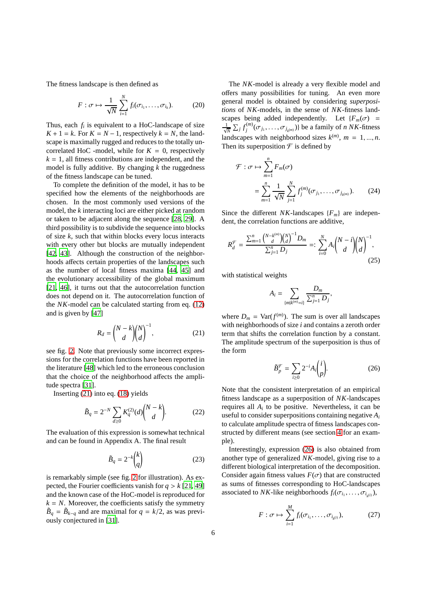The fitness landscape is then defined as

$$
F: \sigma \mapsto \frac{1}{\sqrt{N}} \sum_{i=1}^{N} f_i(\sigma_{i_1}, \dots, \sigma_{i_k}).
$$
 (20)

Thus, each  $f_i$  is equivalent to a HoC-landscape of size  $K + 1 = k$ . For  $K = N - 1$ , respectively  $k = N$ , the landscape is maximally rugged and reduces to the totally uncorrelated HoC -model, while for  $K = 0$ , respectively  $k = 1$ , all fitness contributions are independent, and the model is fully additive. By changing *k* the ruggedness of the fitness landscape can be tuned.

To complete the definition of the model, it has to be specified how the elements of the neighborhoods are chosen. In the most commonly used versions of the model, the *k* interacting loci are either picked at random or taken to be adjacent along the sequence [\[28,](#page-12-7) [29](#page-12-8)]. A third possibility is to subdivide the sequence into blocks of size *k*, such that within blocks every locus interacts with every other but blocks are mutually independent [\[42,](#page-12-21) [43](#page-12-22)]. Although the construction of the neighborhoods affects certain properties of the landscapes such as the number of local fitness maxima [\[44](#page-12-23), [45\]](#page-12-24) and the evolutionary accessibility of the global maximum [\[21,](#page-12-0) [46](#page-12-25)], it turns out that the autocorrelation function does not depend on it. The autocorrelation function of the *NK*-model can be calculated starting from eq. [\(12\)](#page-3-4) and is given by [\[47\]](#page-12-26)

$$
R_d = \binom{N-k}{d} \binom{N}{d}^{-1},\tag{21}
$$

see fig. [2.](#page-4-2) Note that previously some incorrect expressions for the correlation functions have been reported in the literature [\[48](#page-12-27)] which led to the erroneous conclusion that the choice of the neighborhood affects the amplitude spectra [\[31](#page-12-10)].

Inserting [\(21\)](#page-5-0) into eq. [\(18\)](#page-4-1) yields

<span id="page-5-3"></span>
$$
\tilde{B}_q = 2^{-N} \sum_{d \ge 0} K_q^{(2)}(d) \binom{N-k}{d}.
$$
 (22)

The evaluation of this expression is somewhat technical and can be found in Appendix A. The final result

$$
\tilde{B}_q = 2^{-k} \binom{k}{q} \tag{23}
$$

is remarkably simple (see fig. [2](#page-4-2) for illustration). As expected, the Fourier coefficients vanish for  $q > k$  [\[21,](#page-12-0) [49](#page-12-28)] and the known case of the HoC-model is reproduced for  $k = N$ . Moreover, the coefficients satisfy the symmetry  $\tilde{B}_q = \tilde{B}_{k-q}$  and are maximal for  $q = k/2$ , as was previously conjectured in [\[31](#page-12-10)].

The *NK*-model is already a very flexible model and offers many possibilities for tuning. An even more general model is obtained by considering *superpositions* of *NK*-models, in the sense of *NK*-fitness landscapes being added independently. Let  ${F_m(\sigma)}$  =  $\frac{1}{\sqrt{N}}\sum_j f_j^{(m)}$  $\{g_j^{(m)}(\sigma_{j_1}, \ldots, \sigma_{j_{k^{(m)}}})\}$  be a family of *n NK*-fitness landscapes with neighborhood sizes  $k^{(m)}$ ,  $m = 1, ..., n$ . Then its superposition  $\mathcal F$  is defined by

$$
\mathcal{F}: \sigma \mapsto \sum_{m=1}^{n} F_m(\sigma)
$$
  
= 
$$
\sum_{m=1}^{n} \frac{1}{\sqrt{N}} \sum_{j=1}^{N} f_j^{(m)}(\sigma_{j_1}, \dots, \sigma_{j_{k^{(m)}}}).
$$
 (24)

Since the different *NK*-landscapes {*Fm*} are independent, the correlation functions are additive,

$$
R_d^{\mathcal{F}} = \frac{\sum_{m=1}^n \binom{N-k^{(m)}}{d} \binom{N}{d}^{-1} D_m}{\sum_{j=1}^n D_j} =: \sum_{i=0}^N A_i \binom{N-i}{d} \binom{N}{d}^{-1},\tag{25}
$$

with statistical weights

$$
A_i = \sum_{\{m | k^{(m)} = i\}} \frac{D_m}{\sum_{j=1}^n D_j},
$$

<span id="page-5-0"></span>where  $D_m = \text{Var}(f^{(m)})$ . The sum is over all landscapes with neighborhoods of size *i* and contains a zeroth order term that shifts the correlation function by a constant. The amplitude spectrum of the superposition is thus of the form

<span id="page-5-1"></span>
$$
\tilde{B}_p^{\mathcal{F}} = \sum_{i\geq 0} 2^{-i} A_i \binom{i}{p}.
$$
 (26)

Note that the consistent interpretation of an empirical fitness landscape as a superposition of *NK*-landscapes requires all  $A_i$  to be positive. Nevertheless, it can be useful to consider superpositions containing negative *A<sup>i</sup>* to calculate amplitude spectra of fitness landscapes constructed by different means (see section [4](#page-6-0) for an example).

<span id="page-5-2"></span>Interestingly, expression [\(26\)](#page-5-1) is also obtained from another type of generalized *NK*-model, giving rise to a different biological interpretation of the decomposition. Consider again fitness values  $F(\sigma)$  that are constructed as sums of fitnesses corresponding to HoC-landscapes associated to *NK*-like neighborhoods  $f_i(\sigma_{i_1}, \ldots, \sigma_{i_{k(i)}})$ ,

$$
F: \sigma \mapsto \sum_{i=1}^{M} f_i(\sigma_{i_1}, \dots, \sigma_{i_{k(i)}}), \tag{27}
$$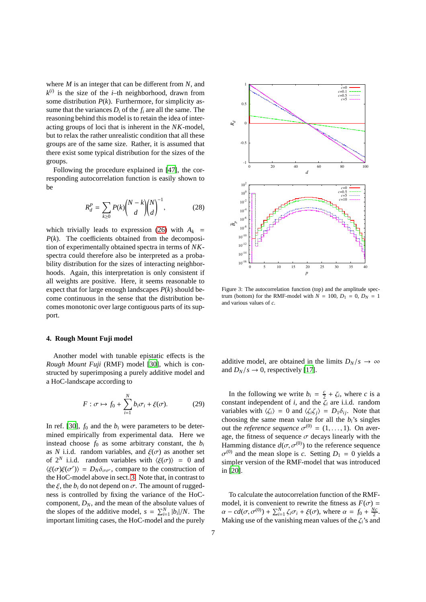where *M* is an integer that can be different from *N*, and  $k^{(i)}$  is the size of the *i*–th neighborhood, drawn from some distribution  $P(k)$ . Furthermore, for simplicity assume that the variances  $D_i$  of the  $f_i$  are all the same. The reasoning behind this model is to retain the idea of interacting groups of loci that is inherent in the *NK*-model, but to relax the rather unrealistic condition that all these groups are of the same size. Rather, it is assumed that there exist some typical distribution for the sizes of the groups.

Following the procedure explained in [\[47\]](#page-12-26), the corresponding autocorrelation function is easily shown to be

$$
R_d^P = \sum_{k\geq 0} P(k) \binom{N-k}{d} \binom{N}{d}^{-1},\tag{28}
$$

which trivially leads to expression [\(26\)](#page-5-1) with  $A_k$  =  $P(k)$ . The coefficients obtained from the decomposition of experimentally obtained spectra in terms of *NK*spectra could therefore also be interpreted as a probability distribution for the sizes of interacting neighborhoods. Again, this interpretation is only consistent if all weights are positive. Here, it seems reasonable to expect that for large enough landscapes *P*(*k*) should become continuous in the sense that the distribution becomes monotonic over large contiguous parts of its support.

#### <span id="page-6-0"></span>**4. Rough Mount Fuji model**

Another model with tunable epistatic effects is the *Rough Mount Fuji* (RMF) model [\[30\]](#page-12-9), which is constructed by superimposing a purely additive model and a HoC-landscape according to

$$
F: \sigma \mapsto f_0 + \sum_{i=1}^{N} b_i \sigma_i + \xi(\sigma). \tag{29}
$$

In ref. [\[30\]](#page-12-9),  $f_0$  and the  $b_i$  were parameters to be determined empirically from experimental data. Here we instead choose  $f_0$  as some arbitrary constant, the  $b_i$ as *N* i.i.d. random variables, and  $\xi(\sigma)$  as another set of  $2^N$  i.i.d. random variables with  $\langle \xi(\sigma) \rangle = 0$  and  $\langle \xi(\sigma) \xi(\sigma') \rangle = D_N \delta_{\sigma \sigma'}$ , compare to the construction of the HoC-model above in sect. [3.](#page-4-0) Note that, in contrast to the  $\xi$ , the  $b_i$  do not depend on  $\sigma$ . The amount of ruggedness is controlled by fixing the variance of the HoCcomponent, *DN*, and the mean of the absolute values of the slopes of the additive model,  $s = \sum_{i=1}^{N} |b_i|/N$ . The important limiting cases, the HoC-model and the purely



<span id="page-6-2"></span><span id="page-6-1"></span>Figure 3: The autocorrelation function (top) and the amplitude spectrum (bottom) for the RMF-model with  $N = 100$ ,  $D_1 = 0$ ,  $D_N = 1$ and various values of *c*.

additive model, are obtained in the limits  $D_N/s \to \infty$ and  $D_N/s \to 0$ , respectively [\[17](#page-11-16)].

In the following we write  $b_i = \frac{c}{2} + \zeta_i$ , where *c* is a constant independent of *i*, and the  $\zeta_i$  are i.i.d. random variables with  $\langle \zeta_i \rangle = 0$  and  $\langle \zeta_i \zeta_j \rangle = D_1 \delta_{ij}$ . Note that choosing the same mean value for all the  $b_i$ 's singles out the *reference sequence*  $\sigma^{(0)} = (1, \ldots, 1)$ . On average, the fitness of sequence  $\sigma$  decays linearly with the Hamming distance  $d(\sigma, \sigma^{(0)})$  to the reference sequence  $\sigma^{(0)}$  and the mean slope is *c*. Setting  $D_1 = 0$  yields a simpler version of the RMF-model that was introduced in [\[20](#page-11-19)].

To calculate the autocorrelation function of the RMFmodel, it is convenient to rewrite the fitness as  $F(\sigma)$  =  $\alpha - cd(\sigma, \sigma^{(0)}) + \sum_{i=1}^{N} \zeta_i \sigma_i + \xi(\sigma)$ , where  $\alpha = f_0 + \frac{Nc}{2}$ . Making use of the vanishing mean values of the  $\zeta_i$ 's and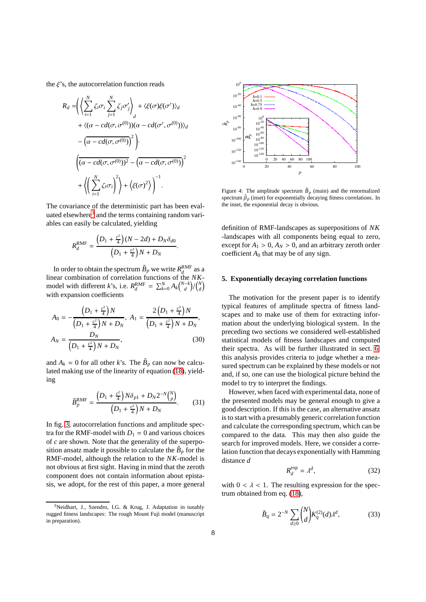the  $\xi$ 's, the autocorrelation function reads

$$
R_d = \left( \left\langle \sum_{i=1}^N \zeta_i \sigma_i \sum_{j=1}^N \zeta_j \sigma_j' \right\rangle_d + \langle \xi(\sigma) \xi(\sigma') \rangle_d
$$
  
+  $\langle (\alpha - cd(\sigma, \sigma^{(0)})) (\alpha - cd(\sigma', \sigma^{(0)})) \rangle_d$   
-  $\left( \overline{\alpha - cd(\sigma, \sigma^{(0)})} \right)^2$   

$$
\left( \overline{(\alpha - cd(\sigma, \sigma^{(0)}))^2} - \overline{\alpha - cd(\sigma, \sigma^{(0)})} \right)^2
$$
  
+  $\left( \left\langle \sum_{i=1}^N \zeta_i \sigma_i \right\rangle^2 \right) + \left\langle \xi(\sigma)^2 \right\rangle \right)^{-1}.$ 

The covariance of the deterministic part has been eval-uated elsewhere<sup>[3](#page-7-0)</sup> and the terms containing random variables can easily be calculated, yielding

$$
R_d^{\text{RMF}} = \frac{\left(D_1 + \frac{c^2}{4}\right)(N - 2d) + D_N \delta_{d0}}{\left(D_1 + \frac{c^2}{4}\right)N + D_N}
$$

.

In order to obtain the spectrum  $\tilde{B}_p$  we write  $R_d^{\text{RMF}}$  as a linear combination of correlation functions of the *NK*model with different *k*'s, i.e.  $R_d^{\text{RMF}} = \sum_{k=0}^{N} A_k \binom{N-k}{d} \binom{N}{d}$ with expansion coefficients

$$
A_0 = -\frac{\left(D_1 + \frac{c^2}{4}\right)N}{\left(D_1 + \frac{c^2}{4}\right)N + D_N}, A_1 = \frac{2\left(D_1 + \frac{c^2}{4}\right)N}{\left(D_1 + \frac{c^2}{4}\right)N + D_N},
$$
  

$$
A_N = \frac{D_N}{\left(D_1 + \frac{c^2}{4}\right)N + D_N},
$$
(30)

and  $A_k = 0$  for all other *k*'s. The  $\tilde{B}_p$  can now be calculated making use of the linearity of equation [\(18\)](#page-4-1), yielding

$$
\tilde{B}_p^{\text{RMF}} = \frac{\left(D_1 + \frac{c^2}{4}\right) N \delta_{p1} + D_N 2^{-N} {N \choose p}}{\left(D_1 + \frac{c^2}{4}\right) N + D_N}.
$$
 (31)

In fig. [3,](#page-6-1) autocorrelation functions and amplitude spectra for the RMF-model with  $D_1 = 0$  and various choices of *c* are shown. Note that the generality of the superposition ansatz made it possible to calculate the  $\tilde{B}_p$  for the RMF-model, although the relation to the *NK*-model is not obvious at first sight. Having in mind that the zeroth component does not contain information about epistasis, we adopt, for the rest of this paper, a more general



<span id="page-7-2"></span>Figure 4: The amplitude spectrum  $\tilde{B}_p$  (main) and the renormalized spectrum  $\tilde{\beta}_p$  (inset) for exponentially decaying fitness correlations. In the inset, the exponential decay is obvious.

definition of RMF-landscapes as superpositions of *NK* -landscapes with all components being equal to zero, except for  $A_1 > 0$ ,  $A_N > 0$ , and an arbitrary zeroth order coefficient  $A_0$  that may be of any sign.

# **5. Exponentially decaying correlation functions**

The motivation for the present paper is to identify typical features of amplitude spectra of fitness landscapes and to make use of them for extracting information about the underlying biological system. In the preceding two sections we considered well-established statistical models of fitness landscapes and computed their spectra. As will be further illustrated in sect. [6,](#page-8-0) this analysis provides criteria to judge whether a measured spectrum can be explained by these models or not and, if so, one can use the biological picture behind the model to try to interpret the findings.

However, when faced with experimental data, none of the presented models may be general enough to give a good description. If this is the case, an alternative ansatz is to start with a presumably generic correlation function and calculate the corresponding spectrum, which can be compared to the data. This may then also guide the search for improved models. Here, we consider a correlation function that decays exponentially with Hamming distance *d*

$$
R_d^{\exp} = \lambda^d,\tag{32}
$$

with  $0 < \lambda < 1$ . The resulting expression for the spectrum obtained from eq. [\(18\)](#page-4-1),

<span id="page-7-1"></span>
$$
\tilde{B}_q = 2^{-N} \sum_{d \ge 0} \binom{N}{d} K_q^{(2)}(d) \lambda^d,\tag{33}
$$

<span id="page-7-0"></span><sup>3</sup>Neidhart, J., Szendro, I.G. & Krug, J. Adaptation in tunably rugged fitness landscapes: The rough Mount Fuji model (manuscript in preparation).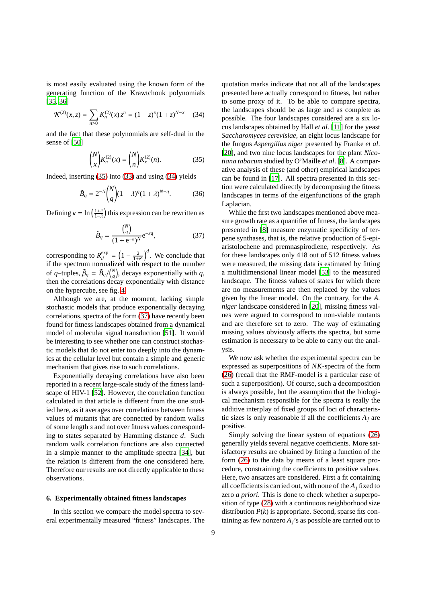is most easily evaluated using the known form of the generating function of the Krawtchouk polynomials [\[35,](#page-12-14) [36\]](#page-12-15)

<span id="page-8-2"></span>
$$
\mathcal{K}^{(2)}(x,z) = \sum_{n\geq 0} K_n^{(2)}(x) z^n = (1-z)^x (1+z)^{N-x} \tag{34}
$$

and the fact that these polynomials are self-dual in the sense of [\[50\]](#page-12-29)

<span id="page-8-1"></span>
$$
\binom{N}{x} K_n^{(2)}(x) = \binom{N}{n} K_x^{(2)}(n). \tag{35}
$$

Indeed, inserting [\(35\)](#page-8-1) into [\(33\)](#page-7-1) and using [\(34\)](#page-8-2) yields

$$
\tilde{B}_q = 2^{-N} \binom{N}{q} (1 - \lambda)^q (1 + \lambda)^{N-q}.
$$
 (36)

Defining  $\kappa = \ln\left(\frac{1+\lambda}{1-\lambda}\right)$  $\frac{1+\lambda}{1-\lambda}$ ) this expression can be rewritten as

$$
\tilde{B}_q = \frac{\binom{N}{q}}{(1 + e^{-\kappa})^N} e^{-\kappa q},\tag{37}
$$

corresponding to  $R_A^{\text{exp}}$  $\frac{e^{exp}}{d} = \left(1 - \frac{2}{1 + e^{k}}\right)^d$ . We conclude that if the spectrum normalized with respect to the number of *q*-tuples,  $\tilde{\beta}_q = \tilde{B}_q / \binom{N}{q}$ , decays exponentially with *q*, then the correlations decay exponentially with distance on the hypercube, see fig. [4.](#page-7-2)

Although we are, at the moment, lacking simple stochastic models that produce exponentially decaying correlations, spectra of the form [\(37\)](#page-8-3) have recently been found for fitness landscapes obtained from a dynamical model of molecular signal transduction [\[51](#page-12-30)]. It would be interesting to see whether one can construct stochastic models that do not enter too deeply into the dynamics at the cellular level but contain a simple and generic mechanism that gives rise to such correlations.

Exponentially decaying correlations have also been reported in a recent large-scale study of the fitness landscape of HIV-1 [\[52\]](#page-12-31). However, the correlation function calculated in that article is different from the one studied here, as it averages over correlations between fitness values of mutants that are connected by random walks of some length *s* and not over fitness values corresponding to states separated by Hamming distance *d*. Such random walk correlation functions are also connected in a simple manner to the amplitude spectra [\[34\]](#page-12-13), but the relation is different from the one considered here. Therefore our results are not directly applicable to these observations.

# <span id="page-8-0"></span>**6. Experimentally obtained fitness landscapes**

In this section we compare the model spectra to several experimentally measured "fitness" landscapes. The quotation marks indicate that not all of the landscapes presented here actually correspond to fitness, but rather to some proxy of it. To be able to compare spectra, the landscapes should be as large and as complete as possible. The four landscapes considered are a six locus landscapes obtained by Hall *et al*. [\[11\]](#page-11-10) for the yeast *Saccharomyces cerevisiae*, an eight locus landscape for the fungus *Aspergillus niger* presented by Franke *et al*. [\[20\]](#page-11-19), and two nine locus landscapes for the plant *Nicotiana tabacum* studied by O'Maille *et al*. [\[8\]](#page-11-7). A comparative analysis of these (and other) empirical landscapes can be found in [\[17\]](#page-11-16). All spectra presented in this section were calculated directly by decomposing the fitness landscapes in terms of the eigenfunctions of the graph Laplacian.

<span id="page-8-3"></span>While the first two landscapes mentioned above measure growth rate as a quantifier of fitness, the landscapes presented in [\[8\]](#page-11-7) measure enzymatic specificity of terpene synthases, that is, the relative production of 5-epiaristolochene and premnaspirodiene, respectively. As for these landscapes only 418 out of 512 fitness values were measured, the missing data is estimated by fitting a multidimensional linear model [\[53\]](#page-12-32) to the measured landscape. The fitness values of states for which there are no measurements are then replaced by the values given by the linear model. On the contrary, for the *A. niger* landscape considered in [\[20](#page-11-19)], missing fitness values were argued to correspond to non-viable mutants and are therefore set to zero. The way of estimating missing values obviously affects the spectra, but some estimation is necessary to be able to carry out the analysis.

We now ask whether the experimental spectra can be expressed as superpositions of *NK*-spectra of the form [\(26\)](#page-5-1) (recall that the RMF-model is a particular case of such a superposition). Of course, such a decomposition is always possible, but the assumption that the biological mechanism responsible for the spectra is really the additive interplay of fixed groups of loci of characteristic sizes is only reasonable if all the coefficients  $A_i$  are positive.

Simply solving the linear system of equations [\(26\)](#page-5-1) generally yields several negative coefficients. More satisfactory results are obtained by fitting a function of the form [\(26\)](#page-5-1) to the data by means of a least square procedure, constraining the coefficients to positive values. Here, two ansatzes are considered. First a fit containing all coefficients is carried out, with none of the  $A_i$  fixed to zero *a priori*. This is done to check whether a superposition of type [\(28\)](#page-6-2) with a continuous neighborhood size distribution  $P(k)$  is appropriate. Second, sparse fits containing as few nonzero  $A_i$ 's as possible are carried out to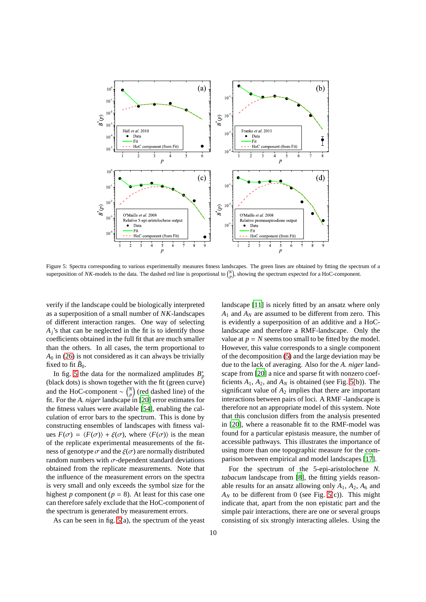

<span id="page-9-0"></span>Figure 5: Spectra corresponding to various experimentally measures fitness landscapes. The green lines are obtained by fitting the spectrum of a superposition of *NK*-models to the data. The dashed red line is proportional to  $\binom{N}{p}$ , showing the spectrum expected for a HoC-component.

verify if the landscape could be biologically interpreted as a superposition of a small number of *NK*-landscapes of different interaction ranges. One way of selecting *Aj*'s that can be neglected in the fit is to identify those coefficients obtained in the full fit that are much smaller than the others. In all cases, the term proportional to *A*<sup>0</sup> in [\(26\)](#page-5-1) is not considered as it can always be trivially fixed to fit  $\tilde{B}_0$ .

In fig. [5](#page-9-0) the data for the normalized amplitudes  $B_p^*$ (black dots) is shown together with the fit (green curve) and the HoC-component  $\sim \binom{N}{p}$  (red dashed line) of the fit. For the *A. niger* landscape in [\[20\]](#page-11-19) error estimates for the fitness values were available [\[54\]](#page-12-33), enabling the calculation of error bars to the spectrum. This is done by constructing ensembles of landscapes with fitness values  $F(\sigma) = \langle F(\sigma) \rangle + \xi(\sigma)$ , where  $\langle F(\sigma) \rangle$  is the mean of the replicate experimental measurements of the fitness of genotype  $\sigma$  and the  $\mathcal{E}(\sigma)$  are normally distributed random numbers with  $\sigma$ -dependent standard deviations obtained from the replicate measurements. Note that the influence of the measurement errors on the spectra is very small and only exceeds the symbol size for the highest  $p$  component ( $p = 8$ ). At least for this case one can therefore safely exclude that the HoC-component of the spectrum is generated by measurement errors.

As can be seen in fig.  $5(a)$ , the spectrum of the yeast

landscape [\[11](#page-11-10)] is nicely fitted by an ansatz where only  $A_1$  and  $A_N$  are assumed to be different from zero. This is evidently a superposition of an additive and a HoClandscape and therefore a RMF-landscape. Only the value at  $p = N$  seems too small to be fitted by the model. However, this value corresponds to a single component of the decomposition [\(5\)](#page-2-1) and the large deviation may be due to the lack of averaging. Also for the *A. niger* landscape from [\[20](#page-11-19)] a nice and sparse fit with nonzero coefficients  $A_1$ ,  $A_2$ , and  $A_N$  is obtained (see Fig. [5\(](#page-9-0)b)). The significant value of  $A_2$  implies that there are important interactions between pairs of loci. A RMF -landscape is therefore not an appropriate model of this system. Note that this conclusion differs from the analysis presented in [\[20\]](#page-11-19), where a reasonable fit to the RMF-model was found for a particular epistasis measure, the number of accessible pathways. This illustrates the importance of using more than one topographic measure for the comparison between empirical and model landscapes [\[17\]](#page-11-16).

For the spectrum of the 5-epi-aristolochene *N. tabacum* landscape from [\[8\]](#page-11-7), the fitting yields reasonable results for an ansatz allowing only  $A_1$ ,  $A_2$ ,  $A_6$  and  $A_N$  to be different from 0 (see Fig. [5\(](#page-9-0)c)). This might indicate that, apart from the non epistatic part and the simple pair interactions, there are one or several groups consisting of six strongly interacting alleles. Using the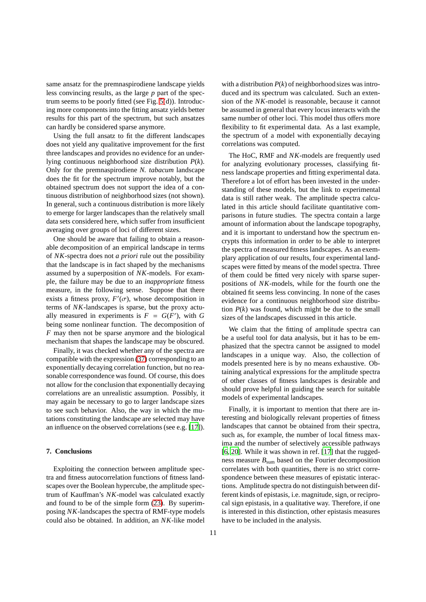same ansatz for the premnaspirodiene landscape yields less convincing results, as the large *p* part of the spectrum seems to be poorly fitted (see Fig. [5\(](#page-9-0)d)). Introducing more components into the fitting ansatz yields better results for this part of the spectrum, but such ansatzes can hardly be considered sparse anymore.

Using the full ansatz to fit the different landscapes does not yield any qualitative improvement for the first three landscapes and provides no evidence for an underlying continuous neighborhood size distribution *P*(*k*). Only for the premnaspirodiene *N. tabacum* landscape does the fit for the spectrum improve notably, but the obtained spectrum does not support the idea of a continuous distribution of neighborhood sizes (not shown). In general, such a continuous distribution is more likely to emerge for larger landscapes than the relatively small data sets considered here, which suffer from insufficient averaging over groups of loci of different sizes.

One should be aware that failing to obtain a reasonable decomposition of an empirical landscape in terms of *NK*-spectra does not *a priori* rule out the possibility that the landscape is in fact shaped by the mechanisms assumed by a superposition of *NK*-models. For example, the failure may be due to an *inappropriate* fitness measure, in the following sense. Suppose that there exists a fitness proxy,  $F'(\sigma)$ , whose decomposition in terms of *NK*-landscapes is sparse, but the proxy actually measured in experiments is  $F = G(F')$ , with  $G$ being some nonlinear function. The decomposition of *F* may then not be sparse anymore and the biological mechanism that shapes the landscape may be obscured.

Finally, it was checked whether any of the spectra are compatible with the expression [\(37\)](#page-8-3) corresponding to an exponentially decaying correlation function, but no reasonable correspondence was found. Of course, this does not allow for the conclusion that exponentially decaying correlations are an unrealistic assumption. Possibly, it may again be necessary to go to larger landscape sizes to see such behavior. Also, the way in which the mutations constituting the landscape are selected may have an influence on the observed correlations (see e.g. [\[17\]](#page-11-16)).

# **7. Conclusions**

Exploiting the connection between amplitude spectra and fitness autocorrelation functions of fitness landscapes over the Boolean hypercube, the amplitude spectrum of Kauffman's *NK*-model was calculated exactly and found to be of the simple form [\(23\)](#page-5-2). By superimposing *NK*-landscapes the spectra of RMF-type models could also be obtained. In addition, an *NK*-like model with a distribution  $P(k)$  of neighborhood sizes was introduced and its spectrum was calculated. Such an extension of the *NK*-model is reasonable, because it cannot be assumed in general that every locus interacts with the same number of other loci. This model thus offers more flexibility to fit experimental data. As a last example, the spectrum of a model with exponentially decaying correlations was computed.

The HoC, RMF and *NK*-models are frequently used for analyzing evolutionary processes, classifying fitness landscape properties and fitting experimental data. Therefore a lot of effort has been invested in the understanding of these models, but the link to experimental data is still rather weak. The amplitude spectra calculated in this article should facilitate quantitative comparisons in future studies. The spectra contain a large amount of information about the landscape topography, and it is important to understand how the spectrum encrypts this information in order to be able to interpret the spectra of measured fitness landscapes. As an exemplary application of our results, four experimental landscapes were fitted by means of the model spectra. Three of them could be fitted very nicely with sparse superpositions of *NK*-models, while for the fourth one the obtained fit seems less convincing. In none of the cases evidence for a continuous neighborhood size distribution  $P(k)$  was found, which might be due to the small sizes of the landscapes discussed in this article.

We claim that the fitting of amplitude spectra can be a useful tool for data analysis, but it has to be emphasized that the spectra cannot be assigned to model landscapes in a unique way. Also, the collection of models presented here is by no means exhaustive. Obtaining analytical expressions for the amplitude spectra of other classes of fitness landscapes is desirable and should prove helpful in guiding the search for suitable models of experimental landscapes.

Finally, it is important to mention that there are interesting and biologically relevant properties of fitness landscapes that cannot be obtained from their spectra, such as, for example, the number of local fitness maxima and the number of selectively accessible pathways [\[6,](#page-11-5) [20\]](#page-11-19). While it was shown in ref. [\[17\]](#page-11-16) that the ruggedness measure *B*sum based on the Fourier decomposition correlates with both quantities, there is no strict correspondence between these measures of epistatic interactions. Amplitude spectra do not distinguish between different kinds of epistasis, i.e. magnitude, sign, or reciprocal sign epistasis, in a qualitative way. Therefore, if one is interested in this distinction, other epistasis measures have to be included in the analysis.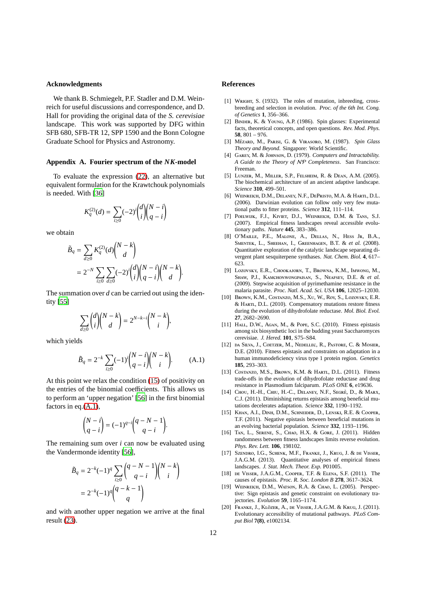# **Acknowledgments**

We thank B. Schmiegelt, P.F. Stadler and D.M. Weinreich for useful discussions and correspondence, and D. Hall for providing the original data of the *S. cerevisiae* landscape. This work was supported by DFG within SFB 680, SFB-TR 12, SPP 1590 and the Bonn Cologne Graduate School for Physics and Astronomy.

# **Appendix A. Fourier spectrum of the** *NK***-model**

To evaluate the expression [\(22\)](#page-5-3), an alternative but equivalent formulation for the Krawtchouk polynomials is needed. With [\[36\]](#page-12-15)

$$
K_q^{(2)}(d) = \sum_{i \ge 0} (-2)^i {d \choose i} {N - i \choose q - i}
$$

we obtain

$$
\tilde{B}_q = \sum_{d \ge 0} K_q^{(2)}(d) \binom{N-k}{d} \\
= 2^{-N} \sum_{i \ge 0} \sum_{d \ge 0} (-2)^i \binom{d}{i} \binom{N-i}{q-i} \binom{N-k}{d}.
$$

The summation over *d* can be carried out using the identity [\[55\]](#page-12-34)

$$
\sum_{d\geq 0} \binom{d}{i} \binom{N-k}{d} = 2^{N-k-i} \binom{N-k}{i},
$$

which yields

<span id="page-11-20"></span>
$$
\tilde{B}_q = 2^{-k} \sum_{i \ge 0} (-1)^i {N - i \choose q - i} {N - k \choose i}.
$$
 (A.1)

At this point we relax the condition [\(15\)](#page-4-3) of positivity on the entries of the binomial coefficients. This allows us to perform an 'upper negation' [\[56](#page-12-35)] in the first binomial factors in eq.[\(A.1\)](#page-11-20),

$$
\binom{N-i}{q-i} = (-1)^{q-i} \binom{q-N-1}{q-i}.
$$

The remaining sum over *i* can now be evaluated using the Vandermonde identity [\[56](#page-12-35)],

$$
\tilde{B}_q = 2^{-k}(-1)^q \sum_{i \ge 0} \binom{q - N - 1}{q - i} \binom{N - k}{i}
$$
\n
$$
= 2^{-k}(-1)^q \binom{q - k - 1}{q}
$$

and with another upper negation we arrive at the final result [\(23\)](#page-5-2).

# **References**

- <span id="page-11-0"></span>[1] WRIGHT, S. (1932). The roles of mutation, inbreeding, crossbreeding and selection in evolution. *Proc. of the 6th Int. Cong. of Genetics* **1**, 356–366.
- <span id="page-11-1"></span>[2] BINDER, K. & YOUNG, A.P. (1986). Spin glasses: Experimental facts, theoretical concepts, and open questions. *Rev. Mod. Phys.* **58**, 801 – 976.
- <span id="page-11-2"></span>[3] M´ezard, M., Parisi, G. & Virasoro, M. (1987). *Spin Glass Theory and Beyond*. Singapore: World Scientific.
- <span id="page-11-3"></span>[4] Garey, M. & Johnson, D. (1979). *Computers and Intractability. A Guide to the Theory of* NP *Completeness*. San Francisco: Freeman.
- <span id="page-11-4"></span>[5] LUNZER, M., MILLER, S.P., FELSHEIM, R. & DEAN, A.M. (2005). The biochemical architecture of an ancient adaptive landscape. *Science* **310**, 499–501.
- <span id="page-11-5"></span>[6] Weinreich, D.M., Delaney, N.F., DePristo, M.A. & Hartl, D.L. (2006). Darwinian evolution can follow only very few mutational paths to fitter proteins. *Science* **312**, 111–114.
- <span id="page-11-6"></span>[7] Poelwijk, F.J., Kiviet, D.J., Weinreich, D.M. & Tans, S.J. (2007). Empirical fitness landscapes reveal accessible evolutionary paths. *Nature* **445**, 383–386.
- <span id="page-11-7"></span>[8] O'Maille, P.E., Malone, A., Dellas, N., Hess Jr, B.A., Smentek, L., Sheehan, I., Greenhagen, B.T. & *et al.* (2008). Quantitative exploration of the catalytic landscape separating divergent plant sesquiterpene synthases. *Nat. Chem. Biol.* **4**, 617– 623.
- <span id="page-11-8"></span>[9] Lozovsky, E.R., Chookajorn, T., Browna, K.M., Imwong, M., Shaw, P.J., Kamchonwongpaisan, S., Neafsey, D.E. & *et al.* (2009). Stepwise acquisition of pyrimethamine resistance in the malaria parasite. *Proc. Natl. Acad. Sci. USA* **106**, 12025–12030.
- <span id="page-11-9"></span>[10] Brown, K.M., Costanzo, M.S., Xu, W., Roy, S., Lozovsky, E.R. & Hartl, D.L. (2010). Compensatory mutations restore fitness during the evolution of dihydrofolate reductase. *Mol. Biol. Evol.* **27**, 2682–2690.
- <span id="page-11-10"></span>[11] HALL, D.W., AGAN, M., & POPE, S.C. (2010). Fitness epistasis among six biosynthetic loci in the budding yeast Saccharomyces cerevisiae. *J. Hered.* **101**, S75–S84.
- <span id="page-11-11"></span>[12] da Silva, J., Coetzer, M., Nedellec, R., Pastore, C. & Mosier, D.E. (2010). Fitness epistasis and constraints on adaptation in a human immunodeficiency virus type 1 protein region. *Genetics* **185**, 293–303.
- <span id="page-11-12"></span>[13] COSTANZO, M.S., BROWN, K.M. & HARTL, D.L. (2011). Fitness trade-offs in the evolution of dihydrofolate reductase and drug resistance in Plasmodium falciparum. *PLoS ONE* **6**, e19636.
- <span id="page-11-13"></span>[14] Chou, H.-H., Chiu, H.-C., Delaney, N.F., Segrè, D., & Marx, C.J. (2011). Diminishing returns epistasis among beneficial mutations decelerates adaptation. *Science* **332**, 1190–1192.
- <span id="page-11-14"></span>[15] Khan, A.I., Dinh, D.M., Schneider, D., Lenski, R.E. & Cooper, T.F. (2011). Negative epistasis between beneficial mutations in an evolving bacterial population. *Science* **332**, 1193–1196.
- <span id="page-11-15"></span>[16] TAN, L., SERENE, S., CHAO, H.X. & GORE, J. (2011). Hidden randomness between fitness landscapes limits reverse evolution. *Phys. Rev. Lett.* **106**, 198102.
- <span id="page-11-16"></span>[17] Szendro, I.G., Schenk, M.F., Franke, J., Krug, J. & de Visser, J.A.G.M. (2013). Quantitative analyses of empirical fitness landscapes. *J. Stat. Mech. Theor. Exp.* P01005.
- <span id="page-11-17"></span>[18] de Visser, J.A.G.M., Cooper, T.F. & Elena, S.F. (2011). The causes of epistasis. *Proc. R. Soc. London B* **278**, 3617–3624.
- <span id="page-11-18"></span>[19] WEINREICH, D.M., WATSON, R.A. & CHAO, L. (2005). Perspective: Sign epistasis and genetic constraint on evolutionary trajectories. *Evolution* **59**, 1165–1174.
- <span id="page-11-19"></span>[20] FRANKE, J., KLÖZER, A., DE VISSER, J.A.G.M. & KRUG, J. (2011). Evolutionary accessibility of mutational pathways. *PLoS Comput Biol* **7(8)**, e1002134.